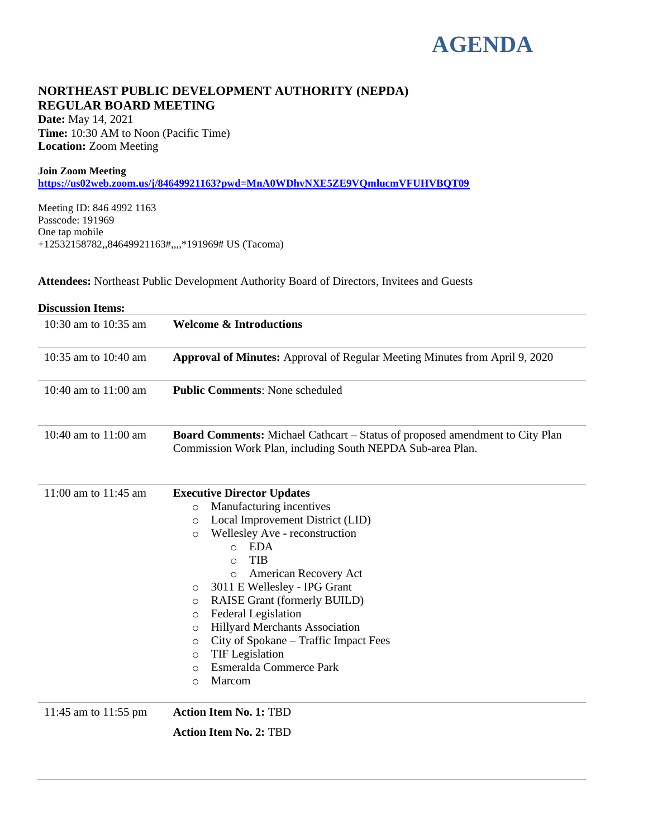# **AGENDA**

### **NORTHEAST PUBLIC DEVELOPMENT AUTHORITY (NEPDA) REGULAR BOARD MEETING**

**Date:** May 14, 2021 **Time:** 10:30 AM to Noon (Pacific Time) **Location:** Zoom Meeting

#### **Join Zoom Meeting**

**<https://us02web.zoom.us/j/84649921163?pwd=MnA0WDhvNXE5ZE9VQmlucmVFUHVBQT09>**

Meeting ID: 846 4992 1163 Passcode: 191969 One tap mobile +12532158782,,84649921163#,,,,\*191969# US (Tacoma)

**Attendees:** Northeast Public Development Authority Board of Directors, Invitees and Guests

| <b>Discussion Items:</b> |                                                                                                                                                                                                                                                                                                                                                                                                                                                                                                                                                        |  |  |  |
|--------------------------|--------------------------------------------------------------------------------------------------------------------------------------------------------------------------------------------------------------------------------------------------------------------------------------------------------------------------------------------------------------------------------------------------------------------------------------------------------------------------------------------------------------------------------------------------------|--|--|--|
| 10:30 am to 10:35 am     | <b>Welcome &amp; Introductions</b>                                                                                                                                                                                                                                                                                                                                                                                                                                                                                                                     |  |  |  |
| 10:35 am to 10:40 am     | <b>Approval of Minutes:</b> Approval of Regular Meeting Minutes from April 9, 2020                                                                                                                                                                                                                                                                                                                                                                                                                                                                     |  |  |  |
| 10:40 am to 11:00 am     | <b>Public Comments: None scheduled</b>                                                                                                                                                                                                                                                                                                                                                                                                                                                                                                                 |  |  |  |
| 10:40 am to 11:00 am     | <b>Board Comments:</b> Michael Cathcart – Status of proposed amendment to City Plan<br>Commission Work Plan, including South NEPDA Sub-area Plan.                                                                                                                                                                                                                                                                                                                                                                                                      |  |  |  |
| 11:00 am to $11:45$ am   | <b>Executive Director Updates</b><br>Manufacturing incentives<br>$\circ$<br>Local Improvement District (LID)<br>$\circ$<br>Wellesley Ave - reconstruction<br>$\circ$<br><b>EDA</b><br>$\circ$<br><b>TIB</b><br>$\circ$<br>American Recovery Act<br>$\circ$<br>3011 E Wellesley - IPG Grant<br>O<br>RAISE Grant (formerly BUILD)<br>O<br>Federal Legislation<br>O<br><b>Hillyard Merchants Association</b><br>O<br>City of Spokane – Traffic Impact Fees<br>O<br><b>TIF</b> Legislation<br>O<br>Esmeralda Commerce Park<br>$\circ$<br>Marcom<br>$\circ$ |  |  |  |
| 11:45 am to 11:55 pm     | <b>Action Item No. 1: TBD</b>                                                                                                                                                                                                                                                                                                                                                                                                                                                                                                                          |  |  |  |
|                          | <b>Action Item No. 2: TBD</b>                                                                                                                                                                                                                                                                                                                                                                                                                                                                                                                          |  |  |  |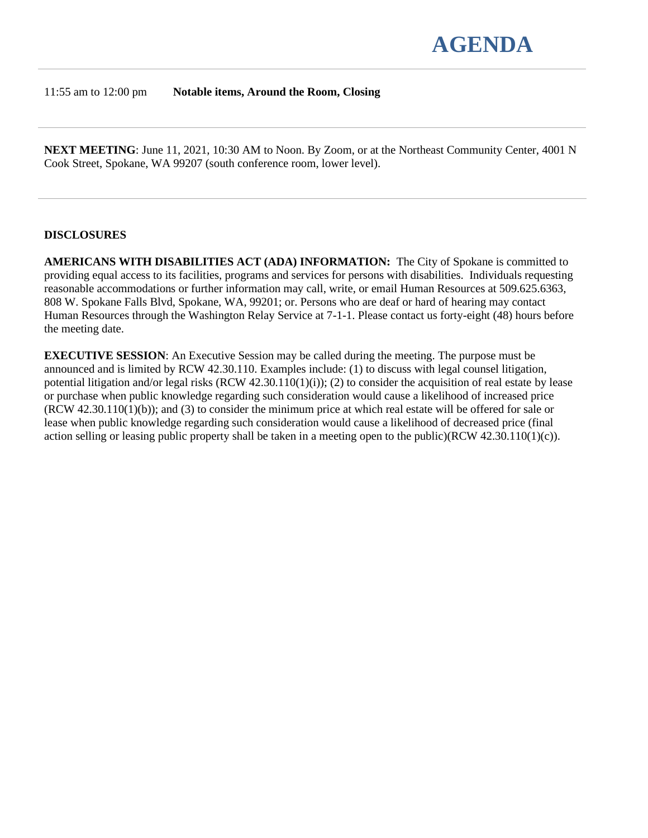

#### 11:55 am to 12:00 pm **Notable items, Around the Room, Closing**

**NEXT MEETING**: June 11, 2021, 10:30 AM to Noon. By Zoom, or at the Northeast Community Center, 4001 N Cook Street, Spokane, WA 99207 (south conference room, lower level).

#### **DISCLOSURES**

**AMERICANS WITH DISABILITIES ACT (ADA) INFORMATION:** The City of Spokane is committed to providing equal access to its facilities, programs and services for persons with disabilities. Individuals requesting reasonable accommodations or further information may call, write, or email Human Resources at 509.625.6363, 808 W. Spokane Falls Blvd, Spokane, WA, 99201; or. Persons who are deaf or hard of hearing may contact Human Resources through the Washington Relay Service at 7-1-1. Please contact us forty-eight (48) hours before the meeting date.

**EXECUTIVE SESSION**: An Executive Session may be called during the meeting. The purpose must be announced and is limited by RCW 42.30.110. Examples include: (1) to discuss with legal counsel litigation, potential litigation and/or legal risks  $(RCW 42.30.110(1)(i))$ ; (2) to consider the acquisition of real estate by lease or purchase when public knowledge regarding such consideration would cause a likelihood of increased price (RCW 42.30.110(1)(b)); and (3) to consider the minimum price at which real estate will be offered for sale or lease when public knowledge regarding such consideration would cause a likelihood of decreased price (final action selling or leasing public property shall be taken in a meeting open to the public)(RCW 42.30.110(1)(c)).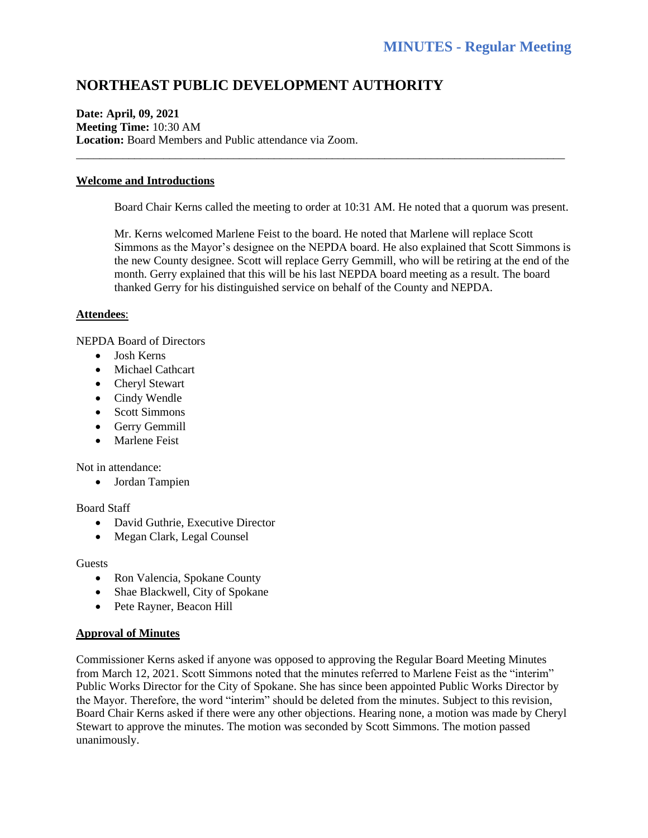## **NORTHEAST PUBLIC DEVELOPMENT AUTHORITY**

#### **Date: April, 09, 2021 Meeting Time:** 10:30 AM **Location:** Board Members and Public attendance via Zoom.

#### **Welcome and Introductions**

Board Chair Kerns called the meeting to order at 10:31 AM. He noted that a quorum was present.

\_\_\_\_\_\_\_\_\_\_\_\_\_\_\_\_\_\_\_\_\_\_\_\_\_\_\_\_\_\_\_\_\_\_\_\_\_\_\_\_\_\_\_\_\_\_\_\_\_\_\_\_\_\_\_\_\_\_\_\_\_\_\_\_\_\_\_\_\_\_\_\_\_\_\_\_\_\_\_\_\_\_\_\_

Mr. Kerns welcomed Marlene Feist to the board. He noted that Marlene will replace Scott Simmons as the Mayor's designee on the NEPDA board. He also explained that Scott Simmons is the new County designee. Scott will replace Gerry Gemmill, who will be retiring at the end of the month. Gerry explained that this will be his last NEPDA board meeting as a result. The board thanked Gerry for his distinguished service on behalf of the County and NEPDA.

#### **Attendees**:

NEPDA Board of Directors

- Josh Kerns
- Michael Cathcart
- Cheryl Stewart
- Cindy Wendle
- Scott Simmons
- Gerry Gemmill
- Marlene Feist

Not in attendance:

• Jordan Tampien

Board Staff

- David Guthrie, Executive Director
- Megan Clark, Legal Counsel

Guests

- Ron Valencia, Spokane County
- Shae Blackwell, City of Spokane
- Pete Rayner, Beacon Hill

#### **Approval of Minutes**

Commissioner Kerns asked if anyone was opposed to approving the Regular Board Meeting Minutes from March 12, 2021. Scott Simmons noted that the minutes referred to Marlene Feist as the "interim" Public Works Director for the City of Spokane. She has since been appointed Public Works Director by the Mayor. Therefore, the word "interim" should be deleted from the minutes. Subject to this revision, Board Chair Kerns asked if there were any other objections. Hearing none, a motion was made by Cheryl Stewart to approve the minutes. The motion was seconded by Scott Simmons. The motion passed unanimously.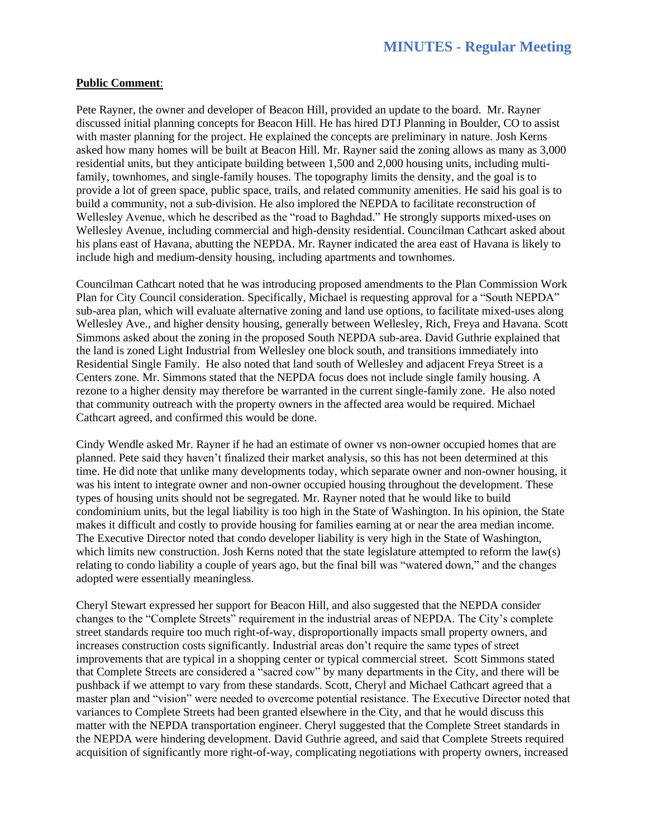#### **Public Comment**:

Pete Rayner, the owner and developer of Beacon Hill, provided an update to the board. Mr. Rayner discussed initial planning concepts for Beacon Hill. He has hired DTJ Planning in Boulder, CO to assist with master planning for the project. He explained the concepts are preliminary in nature. Josh Kerns asked how many homes will be built at Beacon Hill. Mr. Rayner said the zoning allows as many as 3,000 residential units, but they anticipate building between 1,500 and 2,000 housing units, including multifamily, townhomes, and single-family houses. The topography limits the density, and the goal is to provide a lot of green space, public space, trails, and related community amenities. He said his goal is to build a community, not a sub-division. He also implored the NEPDA to facilitate reconstruction of Wellesley Avenue, which he described as the "road to Baghdad." He strongly supports mixed-uses on Wellesley Avenue, including commercial and high-density residential. Councilman Cathcart asked about his plans east of Havana, abutting the NEPDA. Mr. Rayner indicated the area east of Havana is likely to include high and medium-density housing, including apartments and townhomes.

Councilman Cathcart noted that he was introducing proposed amendments to the Plan Commission Work Plan for City Council consideration. Specifically, Michael is requesting approval for a "South NEPDA" sub-area plan, which will evaluate alternative zoning and land use options, to facilitate mixed-uses along Wellesley Ave., and higher density housing, generally between Wellesley, Rich, Freya and Havana. Scott Simmons asked about the zoning in the proposed South NEPDA sub-area. David Guthrie explained that the land is zoned Light Industrial from Wellesley one block south, and transitions immediately into Residential Single Family. He also noted that land south of Wellesley and adjacent Freya Street is a Centers zone. Mr. Simmons stated that the NEPDA focus does not include single family housing. A rezone to a higher density may therefore be warranted in the current single-family zone. He also noted that community outreach with the property owners in the affected area would be required. Michael Cathcart agreed, and confirmed this would be done.

Cindy Wendle asked Mr. Rayner if he had an estimate of owner vs non-owner occupied homes that are planned. Pete said they haven't finalized their market analysis, so this has not been determined at this time. He did note that unlike many developments today, which separate owner and non-owner housing, it was his intent to integrate owner and non-owner occupied housing throughout the development. These types of housing units should not be segregated. Mr. Rayner noted that he would like to build condominium units, but the legal liability is too high in the State of Washington. In his opinion, the State makes it difficult and costly to provide housing for families earning at or near the area median income. The Executive Director noted that condo developer liability is very high in the State of Washington, which limits new construction. Josh Kerns noted that the state legislature attempted to reform the law(s) relating to condo liability a couple of years ago, but the final bill was "watered down," and the changes adopted were essentially meaningless.

Cheryl Stewart expressed her support for Beacon Hill, and also suggested that the NEPDA consider changes to the "Complete Streets" requirement in the industrial areas of NEPDA. The City's complete street standards require too much right-of-way, disproportionally impacts small property owners, and increases construction costs significantly. Industrial areas don't require the same types of street improvements that are typical in a shopping center or typical commercial street. Scott Simmons stated that Complete Streets are considered a "sacred cow" by many departments in the City, and there will be pushback if we attempt to vary from these standards. Scott, Cheryl and Michael Cathcart agreed that a master plan and "vision" were needed to overcome potential resistance. The Executive Director noted that variances to Complete Streets had been granted elsewhere in the City, and that he would discuss this matter with the NEPDA transportation engineer. Cheryl suggested that the Complete Street standards in the NEPDA were hindering development. David Guthrie agreed, and said that Complete Streets required acquisition of significantly more right-of-way, complicating negotiations with property owners, increased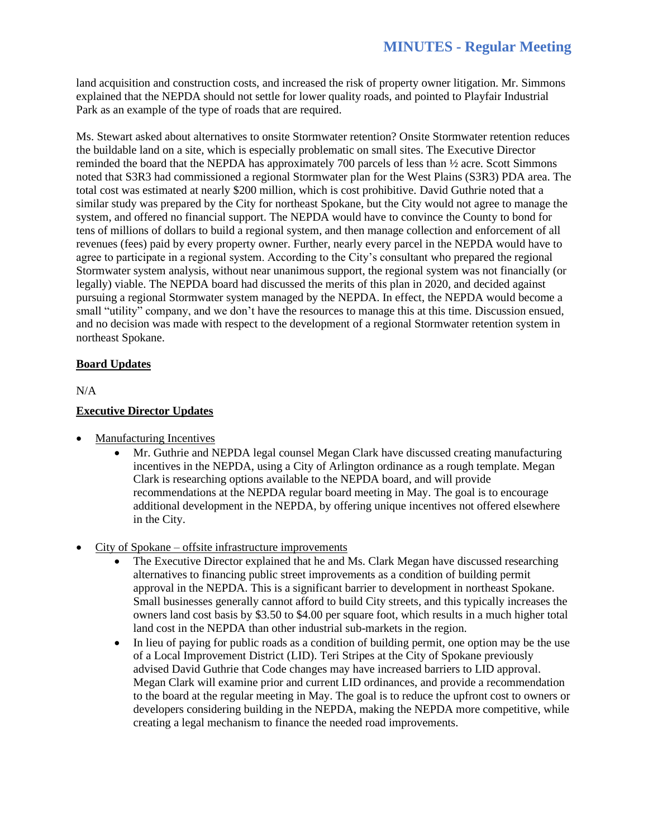land acquisition and construction costs, and increased the risk of property owner litigation. Mr. Simmons explained that the NEPDA should not settle for lower quality roads, and pointed to Playfair Industrial Park as an example of the type of roads that are required.

Ms. Stewart asked about alternatives to onsite Stormwater retention? Onsite Stormwater retention reduces the buildable land on a site, which is especially problematic on small sites. The Executive Director reminded the board that the NEPDA has approximately 700 parcels of less than ½ acre. Scott Simmons noted that S3R3 had commissioned a regional Stormwater plan for the West Plains (S3R3) PDA area. The total cost was estimated at nearly \$200 million, which is cost prohibitive. David Guthrie noted that a similar study was prepared by the City for northeast Spokane, but the City would not agree to manage the system, and offered no financial support. The NEPDA would have to convince the County to bond for tens of millions of dollars to build a regional system, and then manage collection and enforcement of all revenues (fees) paid by every property owner. Further, nearly every parcel in the NEPDA would have to agree to participate in a regional system. According to the City's consultant who prepared the regional Stormwater system analysis, without near unanimous support, the regional system was not financially (or legally) viable. The NEPDA board had discussed the merits of this plan in 2020, and decided against pursuing a regional Stormwater system managed by the NEPDA. In effect, the NEPDA would become a small "utility" company, and we don't have the resources to manage this at this time. Discussion ensued, and no decision was made with respect to the development of a regional Stormwater retention system in northeast Spokane.

#### **Board Updates**

N/A

#### **Executive Director Updates**

- Manufacturing Incentives
	- Mr. Guthrie and NEPDA legal counsel Megan Clark have discussed creating manufacturing incentives in the NEPDA, using a City of Arlington ordinance as a rough template. Megan Clark is researching options available to the NEPDA board, and will provide recommendations at the NEPDA regular board meeting in May. The goal is to encourage additional development in the NEPDA, by offering unique incentives not offered elsewhere in the City.
- City of Spokane offsite infrastructure improvements
	- The Executive Director explained that he and Ms. Clark Megan have discussed researching alternatives to financing public street improvements as a condition of building permit approval in the NEPDA. This is a significant barrier to development in northeast Spokane. Small businesses generally cannot afford to build City streets, and this typically increases the owners land cost basis by \$3.50 to \$4.00 per square foot, which results in a much higher total land cost in the NEPDA than other industrial sub-markets in the region.
	- In lieu of paying for public roads as a condition of building permit, one option may be the use of a Local Improvement District (LID). Teri Stripes at the City of Spokane previously advised David Guthrie that Code changes may have increased barriers to LID approval. Megan Clark will examine prior and current LID ordinances, and provide a recommendation to the board at the regular meeting in May. The goal is to reduce the upfront cost to owners or developers considering building in the NEPDA, making the NEPDA more competitive, while creating a legal mechanism to finance the needed road improvements.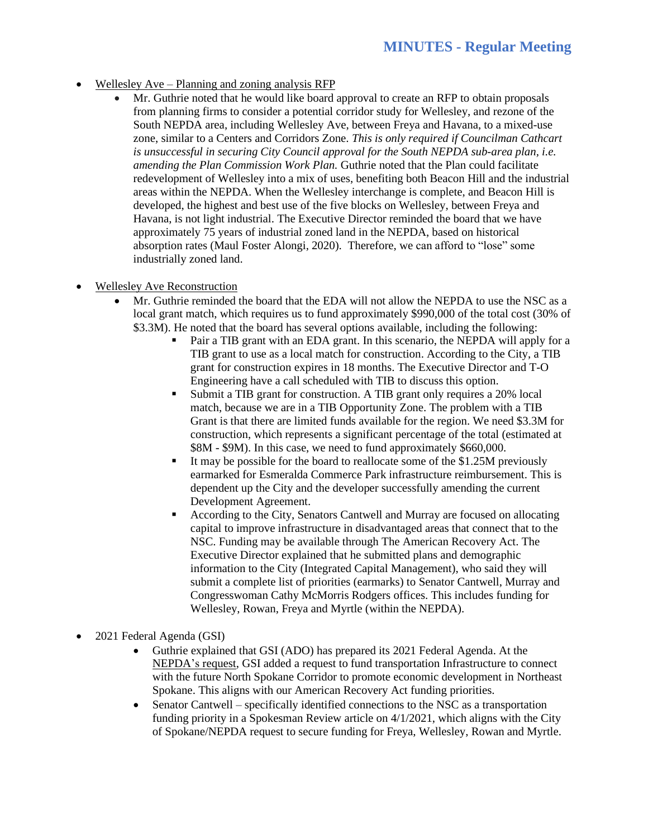- Wellesley Ave Planning and zoning analysis RFP
	- Mr. Guthrie noted that he would like board approval to create an RFP to obtain proposals from planning firms to consider a potential corridor study for Wellesley, and rezone of the South NEPDA area, including Wellesley Ave, between Freya and Havana, to a mixed-use zone, similar to a Centers and Corridors Zone. *This is only required if Councilman Cathcart*  is unsuccessful in securing City Council approval for the South NEPDA sub-area plan, i.e. *amending the Plan Commission Work Plan.* Guthrie noted that the Plan could facilitate redevelopment of Wellesley into a mix of uses, benefiting both Beacon Hill and the industrial areas within the NEPDA. When the Wellesley interchange is complete, and Beacon Hill is developed, the highest and best use of the five blocks on Wellesley, between Freya and Havana, is not light industrial. The Executive Director reminded the board that we have approximately 75 years of industrial zoned land in the NEPDA, based on historical absorption rates (Maul Foster Alongi, 2020). Therefore, we can afford to "lose" some industrially zoned land.
- Wellesley Ave Reconstruction
	- Mr. Guthrie reminded the board that the EDA will not allow the NEPDA to use the NSC as a local grant match, which requires us to fund approximately \$990,000 of the total cost (30% of \$3.3M). He noted that the board has several options available, including the following:
		- Pair a TIB grant with an EDA grant. In this scenario, the NEPDA will apply for a TIB grant to use as a local match for construction. According to the City, a TIB grant for construction expires in 18 months. The Executive Director and T-O Engineering have a call scheduled with TIB to discuss this option.
		- Submit a TIB grant for construction. A TIB grant only requires a 20% local match, because we are in a TIB Opportunity Zone. The problem with a TIB Grant is that there are limited funds available for the region. We need \$3.3M for construction, which represents a significant percentage of the total (estimated at \$8M - \$9M). In this case, we need to fund approximately \$660,000.
		- It may be possible for the board to reallocate some of the  $$1.25M$  previously earmarked for Esmeralda Commerce Park infrastructure reimbursement. This is dependent up the City and the developer successfully amending the current Development Agreement.
		- According to the City, Senators Cantwell and Murray are focused on allocating capital to improve infrastructure in disadvantaged areas that connect that to the NSC. Funding may be available through The American Recovery Act. The Executive Director explained that he submitted plans and demographic information to the City (Integrated Capital Management), who said they will submit a complete list of priorities (earmarks) to Senator Cantwell, Murray and Congresswoman Cathy McMorris Rodgers offices. This includes funding for Wellesley, Rowan, Freya and Myrtle (within the NEPDA).
- 2021 Federal Agenda (GSI)
	- Guthrie explained that GSI (ADO) has prepared its 2021 Federal Agenda. At the NEPDA's request, GSI added a request to fund transportation Infrastructure to connect with the future North Spokane Corridor to promote economic development in Northeast Spokane. This aligns with our American Recovery Act funding priorities.
	- Senator Cantwell specifically identified connections to the NSC as a transportation funding priority in a Spokesman Review article on 4/1/2021, which aligns with the City of Spokane/NEPDA request to secure funding for Freya, Wellesley, Rowan and Myrtle.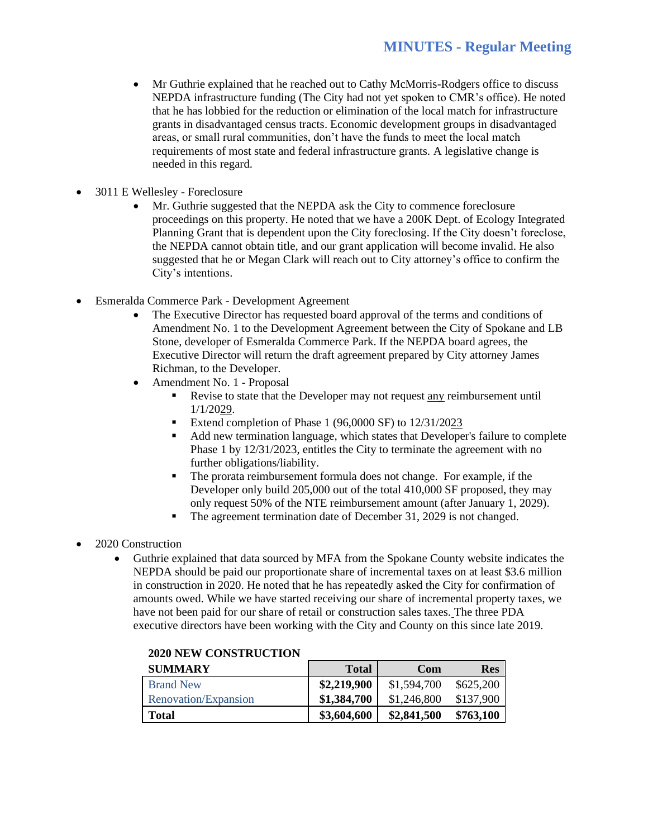- Mr Guthrie explained that he reached out to Cathy McMorris-Rodgers office to discuss NEPDA infrastructure funding (The City had not yet spoken to CMR's office). He noted that he has lobbied for the reduction or elimination of the local match for infrastructure grants in disadvantaged census tracts. Economic development groups in disadvantaged areas, or small rural communities, don't have the funds to meet the local match requirements of most state and federal infrastructure grants. A legislative change is needed in this regard.
- 3011 E Wellesley Foreclosure
	- Mr. Guthrie suggested that the NEPDA ask the City to commence foreclosure proceedings on this property. He noted that we have a 200K Dept. of Ecology Integrated Planning Grant that is dependent upon the City foreclosing. If the City doesn't foreclose, the NEPDA cannot obtain title, and our grant application will become invalid. He also suggested that he or Megan Clark will reach out to City attorney's office to confirm the City's intentions.
- Esmeralda Commerce Park Development Agreement
	- The Executive Director has requested board approval of the terms and conditions of Amendment No. 1 to the Development Agreement between the City of Spokane and LB Stone, developer of Esmeralda Commerce Park. If the NEPDA board agrees, the Executive Director will return the draft agreement prepared by City attorney James Richman, to the Developer.
	- Amendment No. 1 Proposal
		- Revise to state that the Developer may not request any reimbursement until 1/1/2029.
		- Extend completion of Phase 1 (96,0000 SF) to 12/31/2023
		- Add new termination language, which states that Developer's failure to complete Phase 1 by 12/31/2023, entitles the City to terminate the agreement with no further obligations/liability.
		- The prorata reimbursement formula does not change. For example, if the Developer only build 205,000 out of the total 410,000 SF proposed, they may only request 50% of the NTE reimbursement amount (after January 1, 2029).
		- The agreement termination date of December 31, 2029 is not changed.
- 2020 Construction
	- Guthrie explained that data sourced by MFA from the Spokane County website indicates the NEPDA should be paid our proportionate share of incremental taxes on at least \$3.6 million in construction in 2020. He noted that he has repeatedly asked the City for confirmation of amounts owed. While we have started receiving our share of incremental property taxes, we have not been paid for our share of retail or construction sales taxes. The three PDA executive directors have been working with the City and County on this since late 2019.

| <b>SUMMARY</b>       | <b>Total</b> | Com         | <b>Res</b> |
|----------------------|--------------|-------------|------------|
| <b>Brand New</b>     | \$2,219,900  | \$1,594,700 | \$625,200  |
| Renovation/Expansion | \$1,384,700  | \$1,246,800 | \$137,900  |
| Total                | \$3,604,600  | \$2,841,500 | \$763,100  |

#### **2020 NEW CONSTRUCTION**